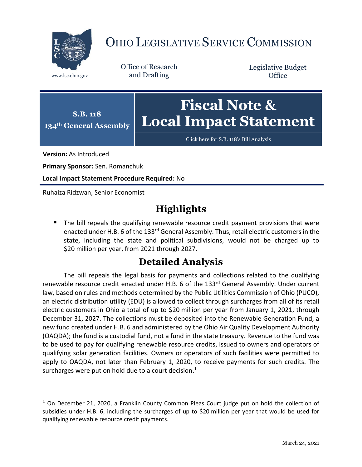

## OHIO LEGISLATIVE SERVICE COMMISSION

Office of Research www.lsc.ohio.gov and Drafting

Legislative Budget **Office** 



[Click here for S.B. 118](https://www.legislature.ohio.gov/legislation/legislation-documents?id=GA134-SB-118)'s Bill Analysis

**Version:** As Introduced

 $\overline{a}$ 

**Primary Sponsor:** Sen. Romanchuk

**Local Impact Statement Procedure Required:** No

Ruhaiza Ridzwan, Senior Economist

## **Highlights**

■ The bill repeals the qualifying renewable resource credit payment provisions that were enacted under H.B. 6 of the 133<sup>rd</sup> General Assembly. Thus, retail electric customers in the state, including the state and political subdivisions, would not be charged up to \$20 million per year, from 2021 through 2027.

## **Detailed Analysis**

The bill repeals the legal basis for payments and collections related to the qualifying renewable resource credit enacted under H.B. 6 of the 133<sup>rd</sup> General Assembly. Under current law, based on rules and methods determined by the Public Utilities Commission of Ohio (PUCO), an electric distribution utility (EDU) is allowed to collect through surcharges from all of its retail electric customers in Ohio a total of up to \$20 million per year from January 1, 2021, through December 31, 2027. The collections must be deposited into the Renewable Generation Fund, a new fund created under H.B. 6 and administered by the Ohio Air Quality Development Authority (OAQDA); the fund is a custodial fund, not a fund in the state treasury. Revenue to the fund was to be used to pay for qualifying renewable resource credits, issued to owners and operators of qualifying solar generation facilities. Owners or operators of such facilities were permitted to apply to OAQDA, not later than February 1, 2020, to receive payments for such credits. The surcharges were put on hold due to a court decision.<sup>1</sup>

 $1$  On December 21, 2020, a Franklin County Common Pleas Court judge put on hold the collection of subsidies under H.B. 6, including the surcharges of up to \$20 million per year that would be used for qualifying renewable resource credit payments.